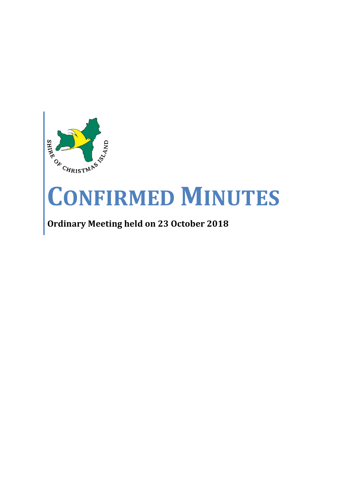

# **CONFIRMED MINUTES**

# **Ordinary Meeting held on 23 October 2018**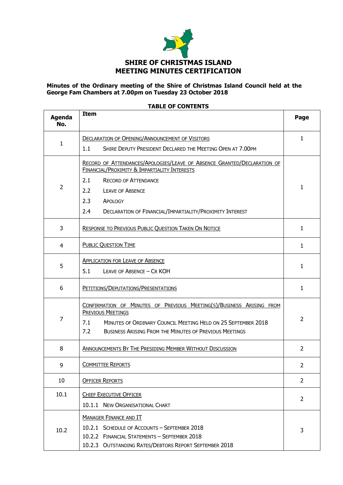

# **Minutes of the Ordinary meeting of the Shire of Christmas Island Council held at the George Fam Chambers at 7.00pm on Tuesday 23 October 2018**

| <b>Agenda</b><br>No. | <b>Item</b>                                                                                                                                                                                                                                      | Page         |  |  |  |
|----------------------|--------------------------------------------------------------------------------------------------------------------------------------------------------------------------------------------------------------------------------------------------|--------------|--|--|--|
|                      | <b>DECLARATION OF OPENING/ANNOUNCEMENT OF VISITORS</b>                                                                                                                                                                                           |              |  |  |  |
| 1                    | 1.1<br>SHIRE DEPUTY PRESIDENT DECLARED THE MEETING OPEN AT 7.00PM                                                                                                                                                                                |              |  |  |  |
|                      | RECORD OF ATTENDANCES/APOLOGIES/LEAVE OF ABSENCE GRANTED/DECLARATION OF<br><b>FINANCIAL/PROXIMITY &amp; IMPARTIALITY INTERESTS</b>                                                                                                               |              |  |  |  |
|                      | 2.1<br><b>RECORD OF ATTENDANCE</b>                                                                                                                                                                                                               |              |  |  |  |
| 2                    | 2.2<br><b>LEAVE OF ABSENCE</b>                                                                                                                                                                                                                   | $\mathbf{1}$ |  |  |  |
|                      | 2.3<br>APOLOGY                                                                                                                                                                                                                                   |              |  |  |  |
|                      | 2.4<br>DECLARATION OF FINANCIAL/IMPARTIALITY/PROXIMITY INTEREST                                                                                                                                                                                  |              |  |  |  |
| 3                    | <b>RESPONSE TO PREVIOUS PUBLIC QUESTION TAKEN ON NOTICE</b>                                                                                                                                                                                      | $\mathbf{1}$ |  |  |  |
| 4                    | <b>PUBLIC QUESTION TIME</b>                                                                                                                                                                                                                      | $\mathbf{1}$ |  |  |  |
| 5                    | <b>APPLICATION FOR LEAVE OF ABSENCE</b>                                                                                                                                                                                                          |              |  |  |  |
|                      | 5.1<br>LEAVE OF ABSENCE - CR KOH                                                                                                                                                                                                                 |              |  |  |  |
| 6                    | PETITIONS/DEPUTATIONS/PRESENTATIONS                                                                                                                                                                                                              |              |  |  |  |
| 7                    | CONFIRMATION OF MINUTES OF PREVIOUS MEETING(S)/BUSINESS ARISING FROM<br><b>PREVIOUS MEETINGS</b><br>7.1<br>MINUTES OF ORDINARY COUNCIL MEETING HELD ON 25 SEPTEMBER 2018<br>7.2<br><b>BUSINESS ARISING FROM THE MINUTES OF PREVIOUS MEETINGS</b> |              |  |  |  |
| 8                    | <b>ANNOUNCEMENTS BY THE PRESIDING MEMBER WITHOUT DISCUSSION</b>                                                                                                                                                                                  | 2            |  |  |  |
| 9                    | <b>COMMITTEE REPORTS</b>                                                                                                                                                                                                                         | 2            |  |  |  |
| 10                   | <b>OFFICER REPORTS</b>                                                                                                                                                                                                                           | 2            |  |  |  |
| 10.1                 | <b>CHIEF EXECUTIVE OFFICER</b>                                                                                                                                                                                                                   | 2            |  |  |  |
|                      | 10.1.1 NEW ORGANISATIONAL CHART                                                                                                                                                                                                                  |              |  |  |  |
| 10.2                 | <b>MANAGER FINANCE AND IT</b>                                                                                                                                                                                                                    |              |  |  |  |
|                      | 10.2.1 SCHEDULE OF ACCOUNTS - SEPTEMBER 2018                                                                                                                                                                                                     |              |  |  |  |
|                      | 10.2.2 FINANCIAL STATEMENTS - SEPTEMBER 2018                                                                                                                                                                                                     |              |  |  |  |
|                      | 10.2.3 OUTSTANDING RATES/DEBTORS REPORT SEPTEMBER 2018                                                                                                                                                                                           |              |  |  |  |

#### **TABLE OF CONTENTS**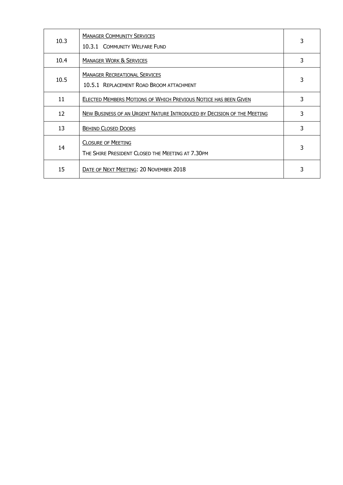| 10.3 | <b>MANAGER COMMUNITY SERVICES</b><br>10.3.1 COMMUNITY WELFARE FUND               | 3 |
|------|----------------------------------------------------------------------------------|---|
| 10.4 | <b>MANAGER WORK &amp; SERVICES</b>                                               | 3 |
| 10.5 | <b>MANAGER RECREATIONAL SERVICES</b><br>10.5.1 REPLACEMENT ROAD BROOM ATTACHMENT | 3 |
| 11   | ELECTED MEMBERS MOTIONS OF WHICH PREVIOUS NOTICE HAS BEEN GIVEN                  | 3 |
| 12   | NEW BUSINESS OF AN URGENT NATURE INTRODUCED BY DECISION OF THE MEETING           | 3 |
| 13   | <b>BEHIND CLOSED DOORS</b>                                                       | 3 |
| 14   | <b>CLOSURE OF MEETING</b><br>THE SHIRE PRESIDENT CLOSED THE MEETING AT 7.30PM    | 3 |
| 15   | DATE OF NEXT MEETING: 20 NOVEMBER 2018                                           |   |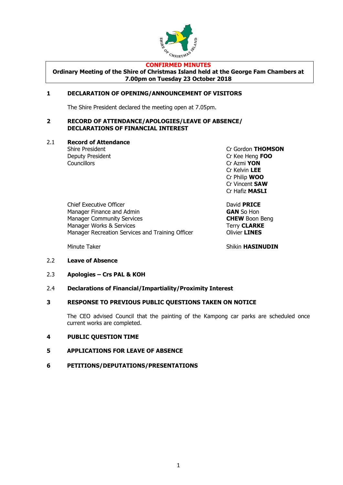

#### **CONFIRMED MINUTES**

**Ordinary Meeting of the Shire of Christmas Island held at the George Fam Chambers at 7.00pm on Tuesday 23 October 2018**

# **1 DECLARATION OF OPENING/ANNOUNCEMENT OF VISITORS**

The Shire President declared the meeting open at 7.05pm.

#### **2 RECORD OF ATTENDANCE/APOLOGIES/LEAVE OF ABSENCE/ DECLARATIONS OF FINANCIAL INTEREST**

# 2.1 **Record of Attendance**

Councillors Cr Azmi **YON**

Shire President Cr Gordon **THOMSON** Deputy President Cr Kee Heng **FOO** Cr Kelvin **LEE** Cr Philip **WOO** Cr Vincent **SAW** Cr Hafiz **MASLI**

Chief Executive Officer **David PRICE** Manager Finance and Admin **GAN** So Hon Manager Community Services **CHEW** Boon Beng Manager Works & Services Terry **CLARKE** Manager Recreation Services and Training Officer **Canadian Clivier LINES** 

Minute Taker **Shikin HASINUDIN** 

## 2.2 **Leave of Absence**

2.3 **Apologies – Crs PAL & KOH**

## 2.4 **Declarations of Financial/Impartiality/Proximity Interest**

## **3 RESPONSE TO PREVIOUS PUBLIC QUESTIONS TAKEN ON NOTICE**

The CEO advised Council that the painting of the Kampong car parks are scheduled once current works are completed.

# **4 PUBLIC QUESTION TIME**

## **5 APPLICATIONS FOR LEAVE OF ABSENCE**

## **6 PETITIONS/DEPUTATIONS/PRESENTATIONS**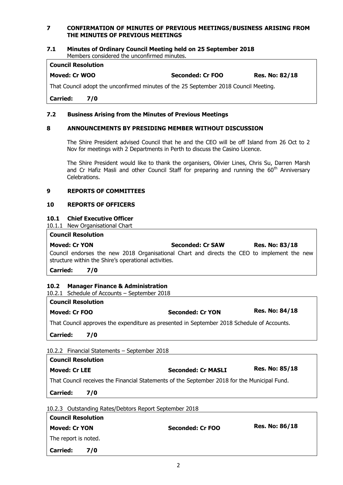# **7 CONFIRMATION OF MINUTES OF PREVIOUS MEETINGS/BUSINESS ARISING FROM THE MINUTES OF PREVIOUS MEETINGS**

#### **7.1 Minutes of Ordinary Council Meeting held on 25 September 2018** Members considered the unconfirmed minutes.

#### **Council Resolution**

**Moved: Cr WOO Seconded: Cr FOO Res. No: 82/18**

That Council adopt the unconfirmed minutes of the 25 September 2018 Council Meeting.

**Carried: 7/0**

# **7.2 Business Arising from the Minutes of Previous Meetings**

# **8 ANNOUNCEMENTS BY PRESIDING MEMBER WITHOUT DISCUSSION**

The Shire President advised Council that he and the CEO will be off Island from 26 Oct to 2 Nov for meetings with 2 Departments in Perth to discuss the Casino Licence.

The Shire President would like to thank the organisers, Olivier Lines, Chris Su, Darren Marsh and Cr Hafiz Masli and other Council Staff for preparing and running the  $60<sup>th</sup>$  Anniversary Celebrations.

## **9 REPORTS OF COMMITTEES**

# **10 REPORTS OF OFFICERS**

# **10.1 Chief Executive Officer**

10.1.1 New Organisational Chart

#### **Council Resolution**

| <b>Moved: Cr YON</b>                                                                        | Seconded: Cr SAW |  |  |  |  | <b>Res. No: 83/18</b> |  |
|---------------------------------------------------------------------------------------------|------------------|--|--|--|--|-----------------------|--|
| Council endorses the new 2018 Organisational Chart and directs the CEO to implement the new |                  |  |  |  |  |                       |  |
| structure within the Shire's operational activities.                                        |                  |  |  |  |  |                       |  |

**Carried: 7/0**

# **10.2 Manager Finance & Administration**

10.2.1 Schedule of Accounts – September 2018

## **Council Resolution**

**Moved: Cr FOO Seconded: Cr YON Res. No: 84/18**

That Council approves the expenditure as presented in September 2018 Schedule of Accounts.

**Carried: 7/0**

10.2.2 Financial Statements – September 2018

| <b>Council Resolution</b>                                                                    |     |                           |                       |  |
|----------------------------------------------------------------------------------------------|-----|---------------------------|-----------------------|--|
| <b>Moved: Cr LEE</b>                                                                         |     | <b>Seconded: Cr MASLI</b> | <b>Res. No: 85/18</b> |  |
| That Council receives the Financial Statements of the September 2018 for the Municipal Fund. |     |                           |                       |  |
| <b>Carried:</b>                                                                              | 7/0 |                           |                       |  |

10.2.3 Outstanding Rates/Debtors Report September 2018

| <b>Council Resolution</b> |     |                  |                       |
|---------------------------|-----|------------------|-----------------------|
| <b>Moved: Cr YON</b>      |     | Seconded: Cr FOO | <b>Res. No: 86/18</b> |
| The report is noted.      |     |                  |                       |
| <b>Carried:</b>           | 7/0 |                  |                       |